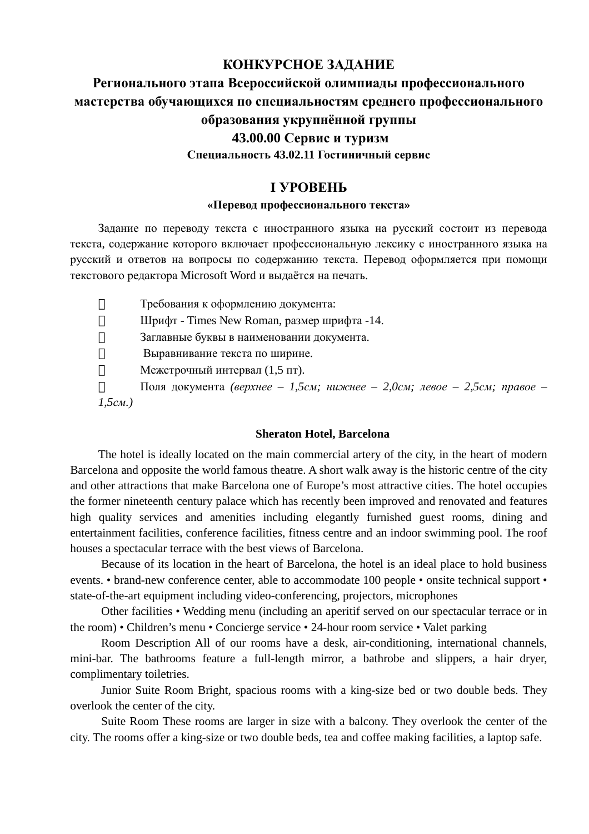## **КОНКУРСНОЕ ЗАДАНИЕ**

# **Регионального этапа Всероссийской олимпиады профессионального мастерства обучающихся по специальностям среднего профессионального образования укрупнённой группы 43.00.00 Сервис и туризм Специальность 43.02.11 Гостиничный сервис**

## **I УРОВЕНЬ**

#### **«Перевод профессионального текста»**

Задание по переводу текста с иностранного языка на русский состоит из перевода текста, содержание которого включает профессиональную лексику с иностранного языка на русский и ответов на вопросы по содержанию текста. Перевод оформляется при помощи текстового редактора Microsoft Word и выдаётся на печать.

 $\frac{3}{4}$ Требования к оформлению документа:

 $\frac{3}{4}$ Шрифт - Times New Roman, размер шрифта -14.

 $\frac{3}{4}$ Заглавные буквы в наименовании документа.

 $\frac{3}{4}$ Выравнивание текста по ширине.

 $\frac{3}{4}$ Межстрочный интервал (1,5 пт).

 $\frac{3}{4}$ Поля документа *(верхнее – 1,5см; нижнее – 2,0см; левое – 2,5см; правое – 1,5см.)*

#### **Sheraton Hotel, Barcelona**

The hotel is ideally located on the main commercial artery of the city, in the heart of modern Barcelona and opposite the world famous theatre. A short walk away is the historic centre of the city and other attractions that make Barcelona one of Europe's most attractive cities. The hotel occupies the former nineteenth century palace which has recently been improved and renovated and features high quality services and amenities including elegantly furnished guest rooms, dining and entertainment facilities, conference facilities, fitness centre and an indoor swimming pool. The roof houses a spectacular terrace with the best views of Barcelona.

Because of its location in the heart of Barcelona, the hotel is an ideal place to hold business events. • brand-new conference center, able to accommodate 100 people • onsite technical support • state-of-the-art equipment including video-conferencing, projectors, microphones

Other facilities • Wedding menu (including an aperitif served on our spectacular terrace or in the room) • Children's menu • Concierge service • 24-hour room service • Valet parking

Room Description All of our rooms have a desk, air-conditioning, international channels, mini-bar. The bathrooms feature a full-length mirror, a bathrobe and slippers, a hair dryer, complimentary toiletries.

Junior Suite Room Bright, spacious rooms with a king-size bed or two double beds. They overlook the center of the city.

Suite Room These rooms are larger in size with a balcony. They overlook the center of the city. The rooms offer a king-size or two double beds, tea and coffee making facilities, a laptop safe.